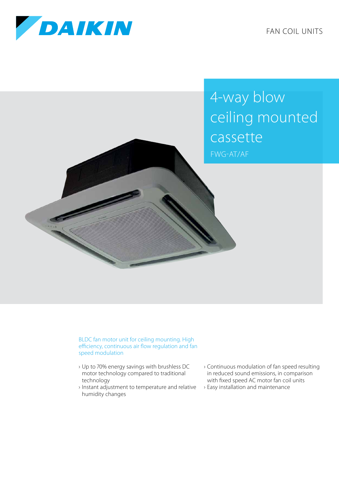

FAN COIL UNITS

4-way blow ceiling mounted cassette FWG-AT/AF

BLDC fan motor unit for ceiling mounting. High efficiency, continuous air flow regulation and fan speed modulation

- › Up to 70% energy savings with brushless DC motor technology compared to traditional technology
- › Instant adjustment to temperature and relative humidity changes
- › Continuous modulation of fan speed resulting in reduced sound emissions, in comparison with fixed speed AC motor fan coil units
- › Easy installation and maintenance